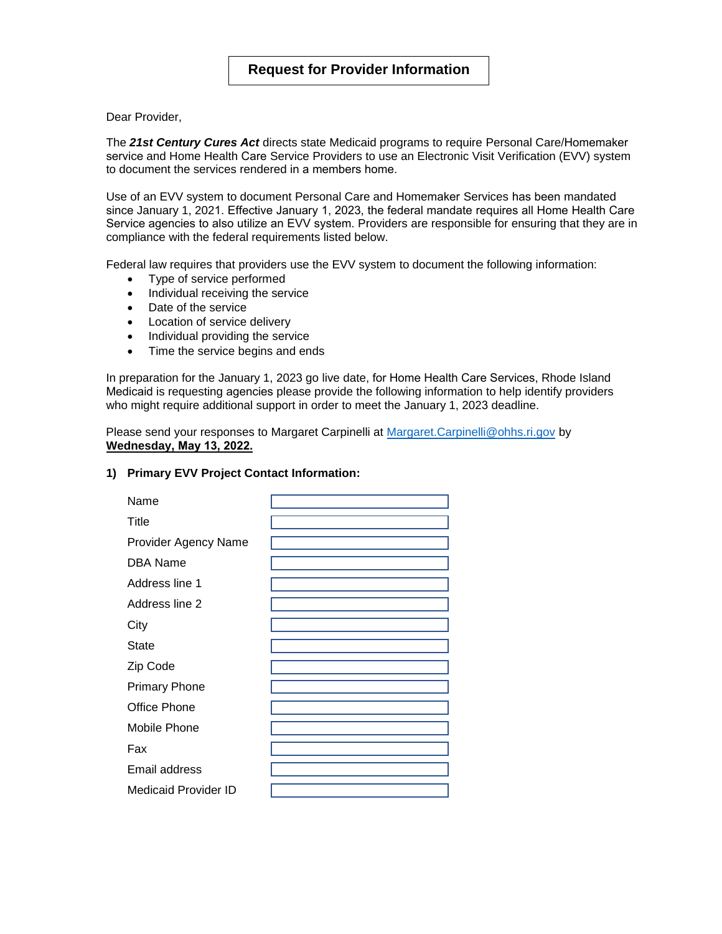Dear Provider,

The *21st Century Cures Act* directs state Medicaid programs to require Personal Care/Homemaker service and Home Health Care Service Providers to use an Electronic Visit Verification (EVV) system to document the services rendered in a members home.

Use of an EVV system to document Personal Care and Homemaker Services has been mandated since January 1, 2021. Effective January 1, 2023, the federal mandate requires all Home Health Care Service agencies to also utilize an EVV system. Providers are responsible for ensuring that they are in compliance with the federal requirements listed below.

Federal law requires that providers use the EVV system to document the following information:

- Type of service performed
- Individual receiving the service
- Date of the service
- Location of service delivery
- Individual providing the service
- Time the service begins and ends

In preparation for the January 1, 2023 go live date, for Home Health Care Services, Rhode Island Medicaid is requesting agencies please provide the following information to help identify providers who might require additional support in order to meet the January 1, 2023 deadline.

Please send your responses to Margaret Carpinelli at [Margaret.Carpinelli@ohhs.ri.gov](mailto:Margaret.Carpinelli@ohhs.ri.gov) by **Wednesday, May 13, 2022.** 

## **1) Primary EVV Project Contact Information:**

| Name                        |  |
|-----------------------------|--|
| Title                       |  |
| <b>Provider Agency Name</b> |  |
| <b>DBA Name</b>             |  |
| Address line 1              |  |
| Address line 2              |  |
| City                        |  |
| <b>State</b>                |  |
| Zip Code                    |  |
| <b>Primary Phone</b>        |  |
| Office Phone                |  |
| Mobile Phone                |  |
| Fax                         |  |
| Email address               |  |
| Medicaid Provider ID        |  |